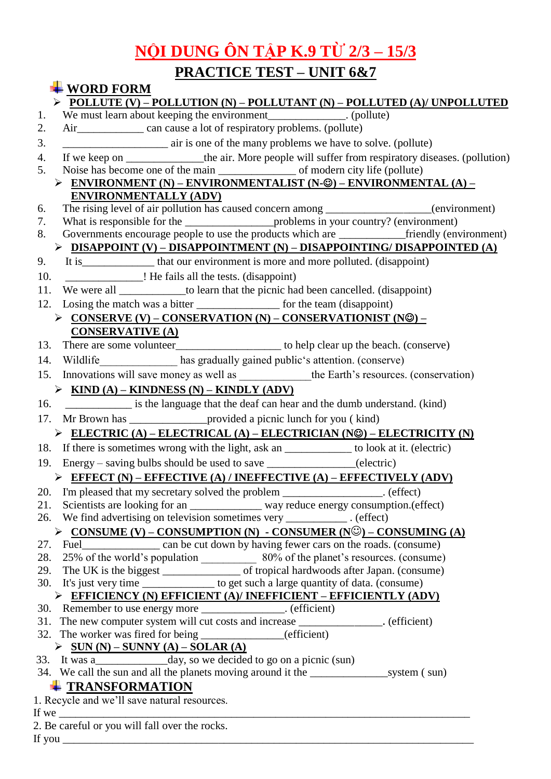## **NỘI DUNG ÔN TẬP K.9 TỪ 2/3 – 15/3**

## **PRACTICE TEST – UNIT 6&7**

| $\textcolor{red}{\blacktriangle}$ WORD FORM                                                                                                                                                                                      |
|----------------------------------------------------------------------------------------------------------------------------------------------------------------------------------------------------------------------------------|
| $\triangleright$ POLLUTE (V) – POLLUTION (N) – POLLUTANT (N) – POLLUTED (A)/ UNPOLLUTED                                                                                                                                          |
| We must learn about keeping the environment_______________. (pollute)<br>1.                                                                                                                                                      |
| 2.                                                                                                                                                                                                                               |
| air is one of the many problems we have to solve. (pollute)<br>3.                                                                                                                                                                |
| If we keep on _______________the air. More people will suffer from respiratory diseases. (pollution)<br>4.                                                                                                                       |
| 5.                                                                                                                                                                                                                               |
| $\triangleright$ ENVIRONMENT (N) – ENVIRONMENTALIST (N-©) – ENVIRONMENTAL (A) –                                                                                                                                                  |
| <b>ENVIRONMENTALLY (ADV)</b>                                                                                                                                                                                                     |
| The rising level of air pollution has caused concern among ________________(environment)<br>6.                                                                                                                                   |
| 7.                                                                                                                                                                                                                               |
| Governments encourage people to use the products which are ________________friendly (environment)<br>8.                                                                                                                          |
| $\triangleright \; \underline{\text{DISAPPOINT (V)} - \text{DISAPPOINTMENT (N)} - \text{DISAPPOINTING/DISAPPOINTER (A)}}$                                                                                                        |
| 9.                                                                                                                                                                                                                               |
| 10.                                                                                                                                                                                                                              |
| We were all ______________to learn that the picnic had been cancelled. (disappoint)<br>11.                                                                                                                                       |
|                                                                                                                                                                                                                                  |
| $\triangleright$ CONSERVE (V) – CONSERVATION (N) – CONSERVATIONIST (N©) –                                                                                                                                                        |
| <b>CONSERVATIVE (A)</b>                                                                                                                                                                                                          |
| There are some volunteer_______________________ to help clear up the beach. (conserve)<br>13.                                                                                                                                    |
| Wildlife has gradually gained public's attention. (conserve)<br>14.                                                                                                                                                              |
| Innovations will save money as well as _____________the Earth's resources. (conservation)<br>15.                                                                                                                                 |
| $\triangleright$ KIND (A) – KINDNESS (N) – KINDLY (ADV)                                                                                                                                                                          |
| is the language that the deaf can hear and the dumb understand. (kind)<br>16.                                                                                                                                                    |
| Mr Brown has ___________________ provided a picnic lunch for you (kind)<br>17.                                                                                                                                                   |
| ELECTRIC (A) – ELECTRICAL (A) – ELECTRICIAN (N©) – ELECTRICITY (N)                                                                                                                                                               |
| 18. If there is sometimes wrong with the light, ask an _____________ to look at it. (electric)                                                                                                                                   |
| 19. Energy – saving bulbs should be used to save _______________(electric)                                                                                                                                                       |
| $\triangleright$ EFFECT (N) – EFFECTIVE (A) / INEFFECTIVE (A) – EFFECTIVELY (ADV)                                                                                                                                                |
| 20. I'm pleased that my secretary solved the problem ________________. (effect)                                                                                                                                                  |
| 21. Scientists are looking for an ___________ way reduce energy consumption.(effect)                                                                                                                                             |
| 26. We find advertising on television sometimes very ____________. (effect)                                                                                                                                                      |
| $\triangleright$ CONSUME (V) – CONSUMPTION (N) - CONSUMER (N©) – CONSUMING (A)                                                                                                                                                   |
|                                                                                                                                                                                                                                  |
|                                                                                                                                                                                                                                  |
| 29. The UK is the biggest _________________ of tropical hardwoods after Japan. (consume)                                                                                                                                         |
| 30. It's just very time __________ to get such a large quantity of data. (consume)                                                                                                                                               |
| > EFFICIENCY (N) EFFICIENT (A)/ INEFFICIENT - EFFICIENTLY (ADV)                                                                                                                                                                  |
| 30. Remember to use energy more _____________. (efficient)                                                                                                                                                                       |
| 31. The new computer system will cut costs and increase _____________. (efficient)                                                                                                                                               |
| 32. The worker was fired for being _______________(efficient)                                                                                                                                                                    |
| $\triangleright \quad \underline{\text{SUN (N)} - \text{SUNNY (A)} - \text{SOLAR (A)}}$                                                                                                                                          |
|                                                                                                                                                                                                                                  |
|                                                                                                                                                                                                                                  |
| <b>TRANSFORMATION</b>                                                                                                                                                                                                            |
| 1. Recycle and we'll save natural resources.                                                                                                                                                                                     |
| If we $\frac{1}{1}$ is the set of the set of the set of the set of the set of the set of the set of the set of the set of the set of the set of the set of the set of the set of the set of the set of the set of the set of the |
| 2. Be careful or you will fall over the rocks.                                                                                                                                                                                   |

If you \_\_\_\_\_\_\_\_\_\_\_\_\_\_\_\_\_\_\_\_\_\_\_\_\_\_\_\_\_\_\_\_\_\_\_\_\_\_\_\_\_\_\_\_\_\_\_\_\_\_\_\_\_\_\_\_\_\_\_\_\_\_\_\_\_\_\_\_\_\_\_\_\_\_